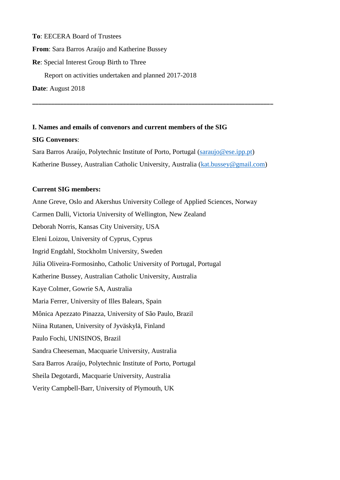**To**: EECERA Board of Trustees **From**: Sara Barros Araújo and Katherine Bussey **Re**: Special Interest Group Birth to Three Report on activities undertaken and planned 2017-2018 **Date**: August 2018

**I. Names and emails of convenors and current members of the SIG SIG Convenors**: Sara Barros Araújo, Polytechnic Institute of Porto, Portugal [\(saraujo@ese.ipp.pt\)](mailto:saraujo@ese.ipp.pt)

Katherine Bussey, Australian Catholic University, Australia [\(kat.bussey@gmail.com\)](mailto:kat.bussey@gmail.com)

**\_\_\_\_\_\_\_\_\_\_\_\_\_\_\_\_\_\_\_\_\_\_\_\_\_\_\_\_\_\_\_\_\_\_\_\_\_\_\_\_\_\_\_\_\_\_\_\_\_\_\_\_\_\_\_\_\_\_\_\_\_\_\_\_\_\_\_\_\_\_\_\_\_\_\_\_\_**

#### **Current SIG members:**

Anne Greve, Oslo and Akershus University College of Applied Sciences, Norway Carmen Dalli, Victoria University of Wellington, New Zealand Deborah Norris, Kansas City University, USA Eleni Loizou, University of Cyprus, Cyprus Ingrid Engdahl, Stockholm University, Sweden Júlia Oliveira-Formosinho, Catholic University of Portugal, Portugal Katherine Bussey, Australian Catholic University, Australia Kaye Colmer, Gowrie SA, Australia Maria Ferrer, University of Illes Balears, Spain Mônica Apezzato Pinazza, University of São Paulo, Brazil Niina Rutanen, University of Jyväskylä, Finland Paulo Fochi, UNISINOS, Brazil Sandra Cheeseman, Macquarie University, Australia Sara Barros Araújo, Polytechnic Institute of Porto, Portugal Sheila Degotardi, Macquarie University, Australia Verity Campbell-Barr, University of Plymouth, UK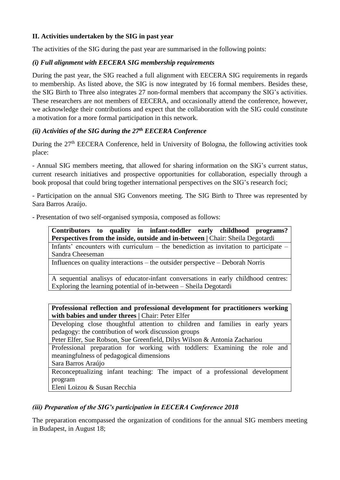# **II. Activities undertaken by the SIG in past year**

The activities of the SIG during the past year are summarised in the following points:

## *(i) Full alignment with EECERA SIG membership requirements*

During the past year, the SIG reached a full alignment with EECERA SIG requirements in regards to membership. As listed above, the SIG is now integrated by 16 formal members. Besides these, the SIG Birth to Three also integrates 27 non-formal members that accompany the SIG's activities. These researchers are not members of EECERA, and occasionally attend the conference, however, we acknowledge their contributions and expect that the collaboration with the SIG could constitute a motivation for a more formal participation in this network.

## *(ii) Activities of the SIG during the 27th EECERA Conference*

During the 27<sup>th</sup> EECERA Conference, held in University of Bologna, the following activities took place:

- Annual SIG members meeting, that allowed for sharing information on the SIG's current status, current research initiatives and prospective opportunities for collaboration, especially through a book proposal that could bring together international perspectives on the SIG's research foci;

- Participation on the annual SIG Convenors meeting. The SIG Birth to Three was represented by Sara Barros Araújo.

- Presentation of two self-organised symposia, composed as follows:

**Contributors to quality in infant-toddler early childhood programs? Perspectives from the inside, outside and in-between | Chair: Sheila Degotardi** Infants' encounters with curriculum – the benediction as invitation to participate – Sandra Cheeseman

Influences on quality interactions – the outsider perspective – Deborah Norris

A sequential analisys of educator-infant conversations in early childhood centres: Exploring the learning potential of in-between – Sheila Degotardi

**Professional reflection and professional development for practitioners working**  with babies and under threes | Chair: Peter Elfer

Developing close thoughtful attention to children and families in early years pedagogy: the contribution of work discussion groups

Peter Elfer, Sue Robson, Sue Greenfield, Dilys Wilson & Antonia Zachariou

Professional preparation for working with toddlers: Examining the role and meaningfulness of pedagogical dimensions

Sara Barros Araújo

Reconceptualizing infant teaching: The impact of a professional development program

Eleni Loizou & Susan Recchia

## *(iii) Preparation of the SIG's participation in EECERA Conference 2018*

The preparation encompassed the organization of conditions for the annual SIG members meeting in Budapest, in August 18;